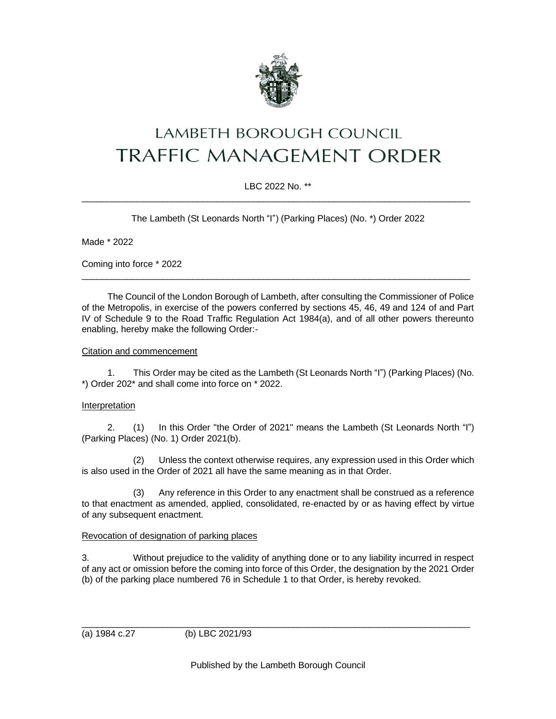

# **LAMBETH BOROUGH COUNCIL TRAFFIC MANAGEMENT ORDER**

## LBC 2022 No. \*\*  $\_$  ,  $\_$  ,  $\_$  ,  $\_$  ,  $\_$  ,  $\_$  ,  $\_$  ,  $\_$  ,  $\_$  ,  $\_$  ,  $\_$  ,  $\_$  ,  $\_$  ,  $\_$  ,  $\_$  ,  $\_$  ,  $\_$  ,  $\_$  ,  $\_$  ,  $\_$  ,  $\_$  ,  $\_$  ,  $\_$  ,  $\_$  ,  $\_$  ,  $\_$  ,  $\_$  ,  $\_$  ,  $\_$  ,  $\_$  ,  $\_$  ,  $\_$  ,  $\_$  ,  $\_$  ,  $\_$  ,  $\_$  ,  $\_$  ,

The Lambeth (St Leonards North "I") (Parking Places) (No. \*) Order 2022

Made \* 2022

Coming into force \* 2022

The Council of the London Borough of Lambeth, after consulting the Commissioner of Police of the Metropolis, in exercise of the powers conferred by sections 45, 46, 49 and 124 of and Part IV of Schedule 9 to the Road Traffic Regulation Act 1984(a), and of all other powers thereunto enabling, hereby make the following Order:-

\_\_\_\_\_\_\_\_\_\_\_\_\_\_\_\_\_\_\_\_\_\_\_\_\_\_\_\_\_\_\_\_\_\_\_\_\_\_\_\_\_\_\_\_\_\_\_\_\_\_\_\_\_\_\_\_\_\_\_\_\_\_\_\_\_\_\_\_\_\_\_\_\_\_\_\_\_

#### Citation and commencement

1. This Order may be cited as the Lambeth (St Leonards North "I") (Parking Places) (No. \*) Order 202\* and shall come into force on \* 2022.

#### Interpretation

2. (1) In this Order "the Order of 2021" means the Lambeth (St Leonards North "I") (Parking Places) (No. 1) Order 2021(b).

(2) Unless the context otherwise requires, any expression used in this Order which is also used in the Order of 2021 all have the same meaning as in that Order.

(3) Any reference in this Order to any enactment shall be construed as a reference to that enactment as amended, applied, consolidated, re-enacted by or as having effect by virtue of any subsequent enactment.

#### Revocation of designation of parking places

3. Without prejudice to the validity of anything done or to any liability incurred in respect of any act or omission before the coming into force of this Order, the designation by the 2021 Order (b) of the parking place numbered 76 in Schedule 1 to that Order, is hereby revoked.

\_\_\_\_\_\_\_\_\_\_\_\_\_\_\_\_\_\_\_\_\_\_\_\_\_\_\_\_\_\_\_\_\_\_\_\_\_\_\_\_\_\_\_\_\_\_\_\_\_\_\_\_\_\_\_\_\_\_\_\_\_\_\_\_\_\_\_\_\_\_\_\_\_\_\_\_\_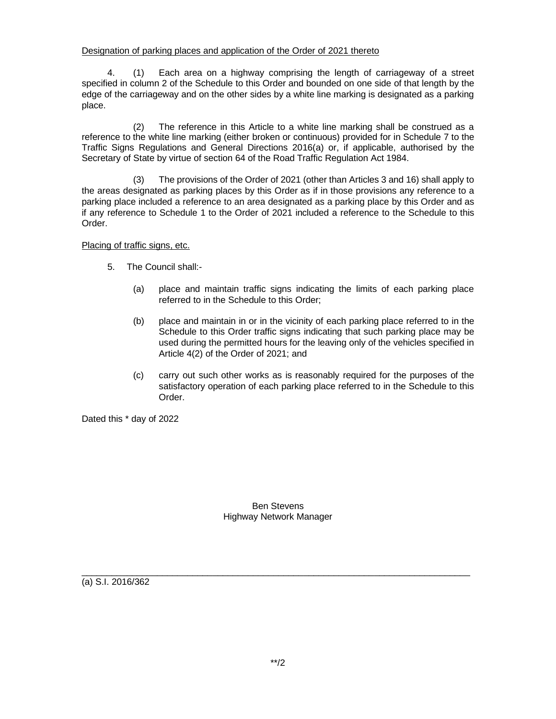## Designation of parking places and application of the Order of 2021 thereto

4. (1) Each area on a highway comprising the length of carriageway of a street specified in column 2 of the Schedule to this Order and bounded on one side of that length by the edge of the carriageway and on the other sides by a white line marking is designated as a parking place.

(2) The reference in this Article to a white line marking shall be construed as a reference to the white line marking (either broken or continuous) provided for in Schedule 7 to the Traffic Signs Regulations and General Directions 2016(a) or, if applicable, authorised by the Secretary of State by virtue of section 64 of the Road Traffic Regulation Act 1984.

(3) The provisions of the Order of 2021 (other than Articles 3 and 16) shall apply to the areas designated as parking places by this Order as if in those provisions any reference to a parking place included a reference to an area designated as a parking place by this Order and as if any reference to Schedule 1 to the Order of 2021 included a reference to the Schedule to this Order.

Placing of traffic signs, etc.

- 5. The Council shall:-
	- (a) place and maintain traffic signs indicating the limits of each parking place referred to in the Schedule to this Order;
	- (b) place and maintain in or in the vicinity of each parking place referred to in the Schedule to this Order traffic signs indicating that such parking place may be used during the permitted hours for the leaving only of the vehicles specified in Article 4(2) of the Order of 2021; and
	- (c) carry out such other works as is reasonably required for the purposes of the satisfactory operation of each parking place referred to in the Schedule to this Order.

Dated this \* day of 2022

Ben Stevens Highway Network Manager

 $\_$  ,  $\_$  ,  $\_$  ,  $\_$  ,  $\_$  ,  $\_$  ,  $\_$  ,  $\_$  ,  $\_$  ,  $\_$  ,  $\_$  ,  $\_$  ,  $\_$  ,  $\_$  ,  $\_$  ,  $\_$  ,  $\_$  ,  $\_$  ,  $\_$  ,  $\_$  ,  $\_$  ,  $\_$  ,  $\_$  ,  $\_$  ,  $\_$  ,  $\_$  ,  $\_$  ,  $\_$  ,  $\_$  ,  $\_$  ,  $\_$  ,  $\_$  ,  $\_$  ,  $\_$  ,  $\_$  ,  $\_$  ,  $\_$  , (a) S.I. 2016/362